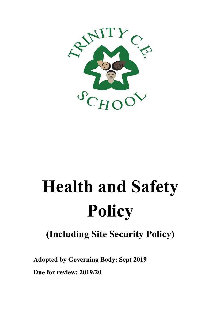

# **Health and Safety Policy**

# **(Including Site Security Policy)**

**Adopted by Governing Body: Sept 2019**

**Due for review: 2019/20**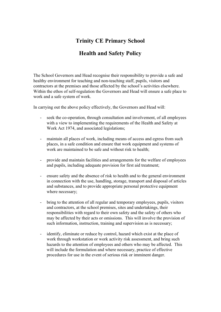# **Trinity CE Primary School**

# **Health and Safety Policy**

The School Governors and Head recognise their responsibility to provide a safe and healthy environment for teaching and non-teaching staff, pupils, visitors and contractors at the premises and those affected by the school's activities elsewhere. Within the ethos of self-regulation the Governors and Head will ensure a safe place to work and a safe system of work.

In carrying out the above policy effectively, the Governors and Head will:

- seek the co-operation, through consultation and involvement, of all employees with a view to implementing the requirements of the Health and Safety at Work Act 1974, and associated legislations;
- maintain all places of work, including means of access and egress from such places, in a safe condition and ensure that work equipment and systems of work are maintained to be safe and without risk to health;
- provide and maintain facilities and arrangements for the welfare of employees and pupils, including adequate provision for first aid treatment;
- ensure safety and the absence of risk to health and to the general environment in connection with the use, handling, storage, transport and disposal of articles and substances, and to provide appropriate personal protective equipment where necessary;
- bring to the attention of all regular and temporary employees, pupils, visitors and contractors, at the school premises, sites and undertakings, their responsibilities with regard to their own safety and the safety of others who may be affected by their acts or omissions. This will involve the provision of such information, instruction, training and supervision as is necessary;
- identify, eliminate or reduce by control, hazard which exist at the place of work through workstation or work activity risk assessment, and bring such hazards to the attention of employees and others who may be affected. This will include the formulation and where necessary, practice of effective procedures for use in the event of serious risk or imminent danger.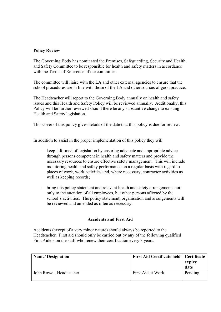#### **Policy Review**

The Governing Body has nominated the Premises, Safeguarding, Security and Health and Safety Committee to be responsible for health and safety matters in accordance with the Terms of Reference of the committee.

The committee will liaise with the LA and other external agencies to ensure that the school procedures are in line with those of the LA and other sources of good practice.

The Headteacher will report to the Governing Body annually on health and safety issues and this Health and Safety Policy will be reviewed annually. Additionally, this Policy will be further reviewed should there be any substantive change to existing Health and Safety legislation.

This cover of this policy gives details of the date that this policy is due for review.

In addition to assist in the proper implementation of this policy they will:

- keep informed of legislation by ensuring adequate and appropriate advice through persons competent in health and safety matters and provide the necessary resources to ensure effective safety management. This will include monitoring health and safety performance on a regular basis with regard to places of work, work activities and, where necessary, contractor activities as well as keeping records;
- bring this policy statement and relevant health and safety arrangements not only to the attention of all employees, but other persons affected by the school's activities. The policy statement, organisation and arrangements will be reviewed and amended as often as necessary.

#### **Accidents and First Aid**

Accidents (except of a very minor nature) should always be reported to the Headteacher. First aid should only be carried out by any of the following qualified First Aiders on the staff who renew their certification every 3 years.

| <b>Name/Designation</b> | First Aid Certificate held   Certificate | expiry<br>date |
|-------------------------|------------------------------------------|----------------|
| John Rowe - Headteacher | First Aid at Work                        | Pending        |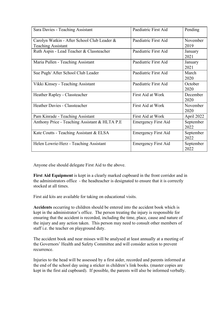| Sara Davies - Teaching Assistant                                         | Paediatric First Aid       | Pending           |
|--------------------------------------------------------------------------|----------------------------|-------------------|
| Carolyn Watkin - After School Club Leader &<br><b>Teaching Assistant</b> | Paediatric First Aid       | November<br>2019  |
| Ruth Aspin - Lead Teacher & Classteacher                                 | Paediatric First Aid       | January<br>2021   |
| Maria Pullen - Teaching Assistant                                        | Paediatric First Aid       | January<br>2021   |
| Sue Pugh/ After School Club Leader                                       | Paediatric First Aid       | March<br>2020     |
| Vikki Kinsey - Teaching Assistant                                        | Paediatric First Aid       | October<br>2020   |
| Heather Rapley - Classteacher                                            | <b>First Aid at Work</b>   | December<br>2020  |
| Heather Davies - Classteacher                                            | First Aid at Work          | November<br>2020  |
| Pam Kinrade - Teaching Assistant                                         | First Aid at Work          | April 2022        |
| Anthony Price - Teaching Assistant & HLTA P.E.                           | Emergency First Aid        | September<br>2022 |
| Kate Coutts - Teaching Assistant & ELSA                                  | <b>Emergency First Aid</b> | September<br>2022 |
| Helen Lowrie-Herz - Teaching Assistant                                   | <b>Emergency First Aid</b> | September<br>2022 |

Anyone else should delegate First Aid to the above.

**First Aid Equipment** is kept in a clearly marked cupboard in the front corridor and in the administrators office - the headteacher is designated to ensure that it is correctly stocked at all times.

First aid kits are available for taking on educational visits.

**Accidents** occurring to children should be entered into the accident book which is kept in the administrator's office. The person treating the injury is responsible for ensuring that the accident is recorded, including the time, place, cause and nature of the injury and any action taken. This person may need to consult other members of staff i.e. the teacher on playground duty.

The accident book and near misses will be analysed at least annually at a meeting of the Governors' Health and Safety Committee and will consider action to prevent recurrence.

Injuries to the head will be assessed by a first aider, recorded and parents informed at the end of the school day using a sticker in children's link books. (master copies are kept in the first aid cupboard). If possible, the parents will also be informed verbally.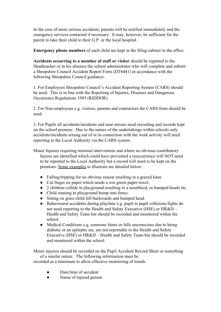In the case of more serious accidents, parents will be notified immediately and the emergency services contacted if necessary. It may, however, be sufficient for the parent to take their child to their G.P. or the local hospital.

**Emergency phone numbers** of each child are kept in the filing cabinet in the office.

**Accidents occurring to a member of staff or visitor** should be reported to the Headteacher or in his absence the school administrator who will complete and submit a Shropshire Council Accident Report Form (DT6441) in accordance with the following Shropshire Council guidance:

1. For Employees Shropshire Council's Accident Reporting System (CARS) should be used. This is in line with the Reporting of Injuries, Diseases and Dangerous Occurrence Regulations 1995 (RIDDOR).

2. For Non-employees e.g. visitors, parents and contractors the CARS form should be used.

3. For Pupils all accidents/incidents and near-misses need recording and records kept on the school premise. Due to the nature of the undertakings within schools only accidents/incidents arising out of or in connection with the work activity will need reporting to the Local Authority via the CARS system.

Minor Injuries requiring minimal intervention and where no obvious contributory factors are identified which could have prevented a reoccurrence will NOT need to be reported to the Local Authority but a record will need to be kept on the premises. Some examples to illustrate are detailed below:

- Falling/tripping for no obvious reason resulting in a grazed knee.
- Cut finger on paper which needs a wet green paper towel.
- 2 children collide in playground resulting in a nosebleed, or bumped heads etc.
- Child running in playground bump into fence.
- Sitting on grass child fell backwards and bumped head.
- Behavioural accidents during playtime e.g. pupil to pupil collisions/fights do not need reporting to the Health and Safety Executive (HSE) or HR&D – Health and Safety Team but should be recorded and monitored within the school.
- Medical Conditions e.g. someone faints or falls unconscious due to being diabetic or an epileptic etc, are not reportable to the Health and Safety Executive (HSE) or HR&D – Health and Safety Team but should be recorded and monitored within the school.

Minor injuries should be recorded on the Pupil Accident Record Sheet or something of a similar nature. The following information must be recorded as a minimum to allow effective monitoring of trends.

- Date/time of accident
- Name of injured person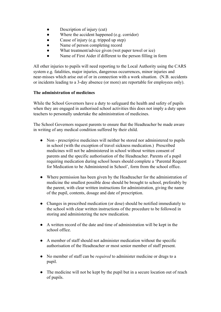- Description of injury (cut)
- Where the accident happened (e.g. corridor)
- Cause of injury (e.g. tripped up step)
- Name of person completing record
- What treatment/advice given (wet paper towel or ice)
- Name of First Aider if different to the person filling in form

All other injuries to pupils will need reporting to the Local Authority using the CARS system e.g. fatalities, major injuries, dangerous occurrences, minor injuries and near-misses which arise out of or in connection with a work situation. (N.B. accidents or incidents leading to a 3-day absence (or more) are reportable for employees only).

#### **The administration of medicines**

While the School Governors have a duty to safeguard the health and safety of pupils when they are engaged in authorised school activities this does not imply a duty upon teachers to personally undertake the administration of medicines.

The School Governors request parents to ensure that the Headteacher be made aware in writing of any medical condition suffered by their child.

- Non prescriptive medicines will neither be stored nor administered to pupils in school (with the exception of travel sickness medication.) Prescribed medicines will not be administered in school without written consent of parents and the specific authorisation of the Headteacher. Parents of a pupil requiring medication during school hours should complete a 'Parental Request for Medication to be Administered in School', form from the school office.
- Where permission has been given by the Headteacher for the administration of medicine the smallest possible dose should be brought to school, preferably by the parent, with clear written instructions for administration, giving the name of the pupil, contents, dosage and date of prescription.
- Changes in prescribed medication (or dose) should be notified immediately to the school with clear written instructions of the procedure to be followed in storing and administering the new medication.
- A written record of the date and time of administration will be kept in the school office.
- A member of staff should not administer medication without the specific authorisation of the Headteacher or most senior member of staff present.
- No member of staff can be *required* to administer medicine or drugs to a pupil.
- The medicine will not be kept by the pupil but in a secure location out of reach of pupils.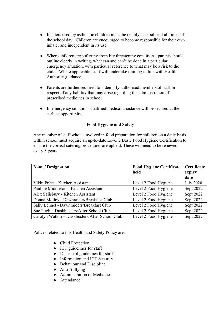- Inhalers used by asthmatic children must, be readily accessible at all times of the school day. Children are encouraged to become responsible for their own inhaler and independent in its use.
- Where children are suffering from life threatening conditions, parents should outline clearly in writing, what can and can't be done in a particular emergency situation, with particular reference to what may be a risk to the child. Where applicable, staff will undertake training in line with Health Authority guidance.
- Parents are further required to indemnify authorised members of staff in respect of any liability that may arise regarding the administration of prescribed medicines in school.
- In emergency situations qualified medical assistance will be secured at the earliest opportunity.

#### **Food Hygiene and Safety**

Any member of staff who is involved in food preparation for children on a daily basis within school must acquire an up-to-date Level 2 Basic Food Hygiene Certification to ensure the correct catering procedures are upheld. These will need to be renewed every 3 years.

| <b>Name/Designation</b>                        | <b>Food Hygiene Certificate</b> | Certificate      |
|------------------------------------------------|---------------------------------|------------------|
|                                                | held                            | expiry           |
|                                                |                                 | date             |
| Vikki Price – Kitchen Assistant                | Level 2 Food Hygiene            | <b>July 2020</b> |
| Pauline Middleton – Kitchen Assistant          | Level 2 Food Hygiene            | Sept 2022        |
| Alex Salisbury - Kitchen Assistant             | Level 2 Food Hygiene            | Sept 2022        |
| Donna Molloy - Dawnraider/Breakfast Club       | Level 2 Food Hygiene            | Sept 2022        |
| Sally Bennet - Dawnraiders/Breakfast Club      | Level 2 Food Hygiene            | Sept 2022        |
| Sue Pugh - Duskbusters/After School Club       | Level 2 Food Hygiene            | Sept 2022        |
| Carolyn Watkin - Duskbusters/After School Club | Level 2 Food Hygiene            | Sept 2022        |

Polices related to this Health and Safety Policy are:

- Child Protection
- ICT guidelines for staff
- ICT email guidelines for staff
- Information and ICT Security
- Behaviour and Discipline
- Anti-Bullying
- Administration of Medicines
- Attendance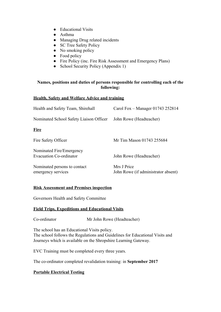- Educational Visits
- Asthma
- Managing Drug related incidents
- SC Tree Safety Policy
- No smoking policy
- Food policy
- Fire Policy (inc. Fire Risk Assessment and Emergency Plans)
- School Security Policy (Appendix 1)

#### **Names, positions and duties of persons responsible for controlling each of the following:**

#### **Health, Safety and Welfare Advice and training**

| Health and Safety Team, Shirehall                          | Carol Fox – Manager 01743 252814                   |
|------------------------------------------------------------|----------------------------------------------------|
| Nominated School Safety Liaison Officer                    | John Rowe (Headteacher)                            |
| <b>Fire</b>                                                |                                                    |
| Fire Safety Officer                                        | Mr Tim Mason 01743 255684                          |
| Nominated Fire/Emergency<br><b>Evacuation Co-ordinator</b> | John Rowe (Headteacher)                            |
| Nominated persons to contact<br>emergency services         | Mrs J Price<br>John Rowe (if administrator absent) |

#### **Risk Assessment and Premises inspection**

Governors Health and Safety Committee

#### **Field Trips, Expeditions and Educational Visits**

Co-ordinator Mr John Rowe (Headteacher)

The school has an Educational Visits policy. The school follows the Regulations and Guidelines for Educational Visits and Journeys which is available on the Shropshire Learning Gateway.

EVC Training must be completed every three years.

The co-ordinator completed revalidation training: in **September 2017**

#### **Portable Electrical Testing**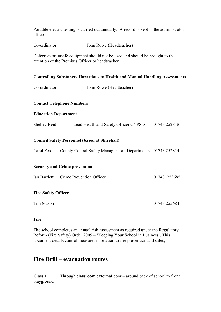Portable electric testing is carried out annually. A record is kept in the administrator's office.

Co-ordinator John Rowe (Headteacher)

Defective or unsafe equipment should not be used and should be brought to the attention of the Premises Officer or headteacher.

#### **Controlling Substances Hazardous to Health and Manual Handling Assessments**

| Co-ordinator                | John Rowe (Headteacher)                                                |              |
|-----------------------------|------------------------------------------------------------------------|--------------|
|                             | <b>Contact Telephone Numbers</b>                                       |              |
| <b>Education Department</b> |                                                                        |              |
|                             | Shelley Reid Lead Health and Safety Officer CYPSD 01743 252818         |              |
|                             | <b>Council Safety Personnel (based at Shirehall)</b>                   |              |
|                             | Carol Fox County Central Safety Manager – all Departments 01743 252814 |              |
|                             | <b>Security and Crime prevention</b>                                   |              |
|                             | Ian Bartlett Crime Prevention Officer                                  | 01743 253685 |
| <b>Fire Safety Officer</b>  |                                                                        |              |
| Tim Mason                   |                                                                        | 01743 255684 |
|                             |                                                                        |              |

**Fire**

The school completes an annual risk assessment as required under the Regulatory Reform (Fire Safety) Order 2005 – 'Keeping Your School in Business'. This document details control measures in relation to fire prevention and safety.

# **Fire Drill – evacuation routes**

**Class 1** Through **classroom external** door – around back of school to front playground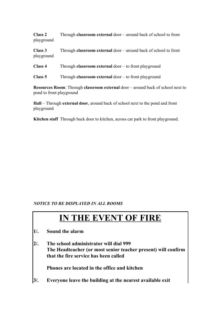**Class 2** Through **classroom external** door – around back of school to front playground

**Class 3** Through **classroom external** door – around back of school to front playground

**Class 4** Through **classroom external** door – to front playground

**Class 5** Through **classroom external** door – to front playground

**Resources Room**: Through **classroom external** door – around back of school next to pond to front playground

**Hall** – Through **external door**, around back of school next to the pond and front playground

**Kitchen staff** Through back door to kitchen, across car park to front playground.

#### *NOTICE TO BE DISPLAYED IN ALL ROOMS*

# **IN THE EVENT OF FIRE**

- **1/. Sound the alarm**
- **2/. The school administrator will dial 999 The Headteacher (or most senior teacher present) will confirm that the fire service has been called**

**Phones are located in the office and kitchen**

**3/. Everyone leave the building at the nearest available exit**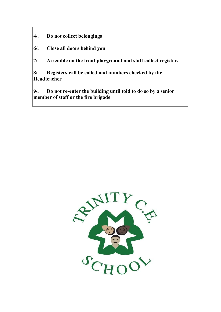- **4/. Do not collect belongings**
- **6/. Close all doors behind you**
- **7/. Assemble on the front playground and staff collect register.**

**8/. Registers will be called and numbers checked by the Headteacher**

**9/. Do not re-enter the building until told to do so by a senior member of staff or the fire brigade**

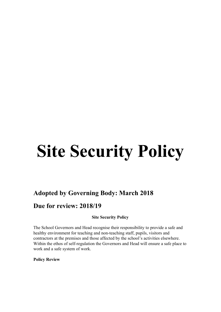# **Site Security Policy**

# **Adopted by Governing Body: March 2018**

# **Due for review: 2018/19**

#### **Site Security Policy**

The School Governors and Head recognise their responsibility to provide a safe and healthy environment for teaching and non-teaching staff, pupils, visitors and contractors at the premises and those affected by the school's activities elsewhere. Within the ethos of self-regulation the Governors and Head will ensure a safe place to work and a safe system of work.

**Policy Review**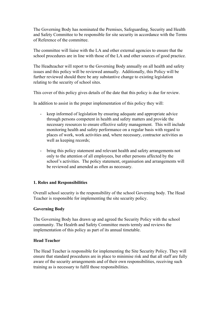The Governing Body has nominated the Premises, Safeguarding, Security and Health and Safety Committee to be responsible for site security in accordance with the Terms of Reference of the committee.

The committee will liaise with the LA and other external agencies to ensure that the school procedures are in line with those of the LA and other sources of good practice.

The Headteacher will report to the Governing Body annually on all health and safety issues and this policy will be reviewed annually. Additionally, this Policy will be further reviewed should there be any substantive change to existing legislation relating to the security of school sites.

This cover of this policy gives details of the date that this policy is due for review.

In addition to assist in the proper implementation of this policy they will:

- keep informed of legislation by ensuring adequate and appropriate advice through persons competent in health and safety matters and provide the necessary resources to ensure effective safety management. This will include monitoring health and safety performance on a regular basis with regard to places of work, work activities and, where necessary, contractor activities as well as keeping records;
- bring this policy statement and relevant health and safety arrangements not only to the attention of all employees, but other persons affected by the school's activities. The policy statement, organisation and arrangements will be reviewed and amended as often as necessary.

#### **1. Roles and Responsibilities**

Overall school security is the responsibility of the school Governing body. The Head Teacher is responsible for implementing the site security policy.

#### **Governing Body**

The Governing Body has drawn up and agreed the Security Policy with the school community. The Healrth and Safety Committee meets termly and reviews the implementation of this policy as part of its annual timetable.

#### **Head Teacher**

The Head Teacher is responsible for implementing the Site Security Policy. They will ensure that standard procedures are in place to minimise risk and that all staff are fully aware of the security arrangements and of their own responsibilities, receiving such training as is necessary to fulfil those responsibilities.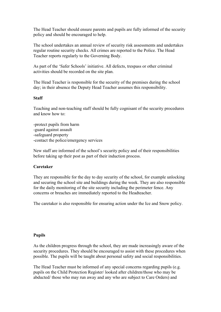The Head Teacher should ensure parents and pupils are fully informed of the security policy and should be encouraged to help.

The school undertakes an annual review of security risk assessments and undertakes regular routine security checks. All crimes are reported to the Police. The Head Teacher reports regularly to the Governing Body.

As part of the 'Safer Schools' initiative. All defects, trespass or other criminal activities should be recorded on the site plan.

The Head Teacher is responsible for the security of the premises during the school day; in their absence the Deputy Head Teacher assumes this responsibility.

#### **Staff**

Teaching and non-teaching staff should be fully cognisant of the security procedures and know how to:

-protect pupils from harm -guard against assault -safeguard property -contact the police/emergency services

New staff are informed of the school's security policy and of their responsibilities before taking up their post as part of their induction process.

#### **Caretaker**

They are responsible for the day to day security of the school, for example unlocking and securing the school site and buildings during the week. They are also responsible for the daily monitoring of the site security including the perimeter fence. Any concerns or breaches are immediately reported to the Headteacher.

The caretaker is also responsible for ensuring action under the Ice and Snow policy.

#### **Pupils**

As the children progress through the school, they are made increasingly aware of the security procedures. They should be encouraged to assist with these procedures when possible. The pupils will be taught about personal safety and social responsibilities.

The Head Teacher must be informed of any special concerns regarding pupils (e.g. pupils on the Child Protection Register/ looked after children/those who may be abducted/ those who may run away and any who are subject to Care Orders) and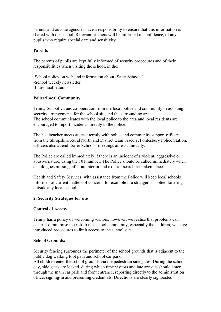parents and outside agencies have a responsibility to ensure that this information is shared with the school. Relevant teachers will be informed in confidence, of any pupils who require special care and sensitivity.

#### **Parents**

The parents of pupils are kept fully informed of security procedures and of their responsibilities when visiting the school, in the:

-School policy on web and information about 'Safer Schools' -School weekly newsletter -Individual letters

#### **Police/Local Community**

Trinity School values co-operation from the local police and community in assisting security arrangements for the school site and the surrounding area. The school communicates with the local police to the area and local residents are encouraged to report incidents directly to the police.

The headteacher meets at least termly with police and community support officers from the Shropshire Rural North and District team based at Pontesbury Police Station. Officers also attend 'Safer Schools' meetings at least annually.

The Police are called immediately if there is an incident of a violent, aggressive or abusive nature, using the 101 number. The Police should be called immediately when a child goes missing, after an interior and exterior search has taken place.

Health and Safety Services, with assistance from the Police will keep local schools informed of current matters of concern, for example if a stranger is spotted loitering outside any local school.

#### **2. Security Strategies for site**

#### **Control of Access**

Trinity has a policy of welcoming visitors; however, we realise that problems can occur. To minimise the risk to the school community, especially the children, we have introduced procedures to limit access to the school site.

#### **School Grounds:**

Security fencing surrounds the perimeter of the school grounds that is adjacent to the public dog walking foot path and school car park.

All children enter the school grounds via the pedestrian side gates. During the school day, side gates are locked, during which time visitors and late arrivals should enter through the main car park and front entrance, reporting directly to the administration office, signing-in and presenting credentials. Directions are clearly signposted.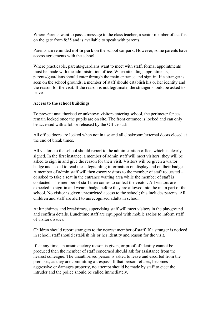Where Parents want to pass a message to the class teacher, a senior member of staff is on the gate from 8:35 and is available to speak with parents.

Parents are reminded **not to park** on the school car park. However, some parents have access agreements with the school.

Where practicable, parents/guardians want to meet with staff, formal appointments must be made with the administration office. When attending appointments, parents/guardians should enter through the main entrance and sign-in. If a stranger is seen on the school grounds, a member of staff should establish his or her identity and the reason for the visit. If the reason is not legitimate, the stranger should be asked to leave.

#### **Access to the school buildings**

To prevent unauthorised or unknown visitors entering school, the perimeter fences remain locked once the pupils are on site. The front entrance is locked and can only be accessed with a fob or released by the Office staff.

All office doors are locked when not in use and all cloakroom/external doors closed at the end of break times.

All visitors to the school should report to the administration office, which is clearly signed. In the first instance, a member of admin staff will meet visitors; they will be asked to sign in and give the reason for their visit. Visitors will be given a visitor badge and asked to read the safeguarding information on display and on their badge. A member of admin staff will then escort visitors to the member of staff requested – or asked to take a seat in the entrance waiting area while the member of staff is contacted. The member of staff then comes to collect the visitor. All visitors are expected to sign-in and wear a badge before they are allowed into the main part of the school. No visitor is given unrestricted access to the school; this includes parents. All children and staff are alert to unrecognised adults in school.

At lunchtimes and breaktimes, supervising staff will meet visitors in the playground and confirm details. Lunchtime staff are equipped with mobile radios to inform staff of visitors/issues.

Children should report strangers to the nearest member of staff. If a stranger is noticed in school, staff should establish his or her identity and reason for the visit.

If, at any time, an unsatisfactory reason is given, or proof of identity cannot be produced then the member of staff concerned should ask for assistance from the nearest colleague. The unauthorised person is asked to leave and escorted from the premises, as they are committing a trespass. If that person refuses, becomes aggressive or damages property, no attempt should be made by staff to eject the intruder and the police should be called immediately.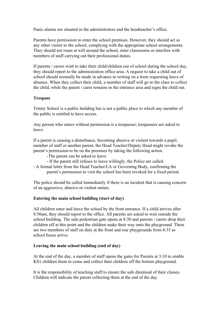Panic alarms are situated in the administrators and the headteacher's office.

Parents have permission to enter the school premises. However, they should act as any other visitor to the school, complying with the appropriate school arrangements. They should not roam at will around the school, enter classrooms or interfere with members of staff carrying out their professional duties.

If parents / carers wish to take their child/children out of school during the school day, they should report to the administration office area. A request to take a child out of school should normally be made in advance in writing on a form requesting leave of absence. When they collect their child, a member of staff will go to the class to collect the child, while the parent / carer remains in the entrance area and signs the child out.

#### **Trespass**

Trinity School is a public building but is not a public place to which any member of the public is entitled to have access.

Any person who enters without permission is a trespasser; trespassers are asked to leave.

If a parent is causing a disturbance, becoming abusive or violent towards a pupil, member of staff or another parent, the Head Teacher/Deputy Head might revoke the parent's permission to be on the premises by taking the following action.

- -The parent can be asked to leave
- If the parent still refuses to leave willingly, the Police are called.
- A formal letter from the Head Teacher/LA or Governing Body, confirming the parent's permission to visit the school has been revoked for a fixed period.

The police should be called immediately if there is an incident that is causing concern of an aggressive, abusive or violent nature.

#### **Entering the main school building (start of day)**

All children enter and leave the school by the front entrance. If a child arrives after 8:50am, they should report to the office. All parents are asked to wait outside the school building. The side pedestrian gate opens at 8:30 and parents / carers drop their children off at this point and the children make their way onto the playground. There are two members of staff on duty at the front and rear playgrounds from 8:35 as school buses arrive.

#### **Leaving the main school building (end of day)**

At the end of the day, a member of staff opens the gates for Parents at 3:10 to enable KS1 children them to come and collect their children off the bottom playground.

It is the responsibility of teaching staff to ensure the safe dismissal of their classes. Children will indicate the parent collecting them at the end of the day.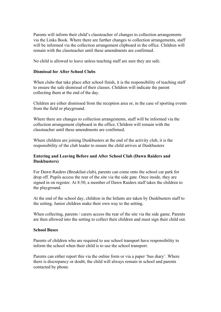Parents will inform their child's classteacher of changes to collection arrangements via the Links Book. Where there are further changes to collection arrangements, staff will be informed via the collection arrangement clipboard in the office. Children will remain with the classteacher until these amendments are confirmed.

No child is allowed to leave unless teaching staff are sure they are safe.

#### **Dismissal for After School Clubs**

When clubs that take place after school finish, it is the responsibility of teaching staff to ensure the safe dismissal of their classes. Children will indicate the parent collecting them at the end of the day.

Children are either dismissed from the reception area or, in the case of sporting events from the field or playground.

Where there are changes to collection arrangements, staff will be informed via the collection arrangement clipboard in the office. Children will remain with the classteacher until these amendments are confirmed.

Where children are joining Duskbusters at the end of the activity club, it is the responsibility of the club leader to ensure the child arrives at Duskbusters

#### **Entering and Leaving Before and After School Club (Dawn Raiders and Duskbusters)**

For Dawn Raiders (Breakfast club), parents can come onto the school car park for drop off. Pupils access the rear of the site via the side gate. Once inside, they are signed in on register. At 8:50, a member of Dawn Raiders staff takes the children to the playground.

At the end of the school day, children in the Infants are taken by Duskbusters staff to the setting. Junior children make their own way to the setting.

When collecting, parents / carers access the rear of the site via the side game. Parents are then allowed into the setting to collect their children and must sign their child out.

#### **School Buses**

Parents of children who are required to use school transport have responsibility to inform the school when their child is to use the school transport.

Parents can either report this via the online form or via a paper 'bus diary'. Where there is discrepancy or doubt, the child will always remain in school and parents contacted by phone.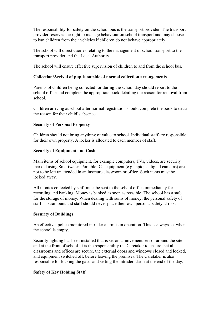The responsibility for safety on the school bus is the transport provider. The transport provider reserves the right to manage behaviour on school transport and may choose to ban children from their vehicles if children do not behave appropriately.

The school will direct queries relating to the management of school transport to the transport provider and the Local Authority

The school will ensure effective supervision of children to and from the school bus.

#### **Collection/Arrival of pupils outside of normal collection arrangements**

Parents of children being collected for during the school day should report to the school office and complete the appropriate book detailing the reason for removal from school.

Children arriving at school after normal registration should complete the book to detai the reason for their child's absence.

#### **Security of Personal Property**

Children should not bring anything of value to school. Individual staff are responsible for their own property. A locker is allocated to each member of staff.

#### **Security of Equipment and Cash**

Main items of school equipment, for example computers, TVs, videos, are security marked using Smartwater. Portable ICT equipment (e.g. laptops, digital cameras) are not to be left unattended in an insecure classroom or office. Such items must be locked away.

All monies collected by staff must be sent to the school office immediately for recording and banking. Money is banked as soon as possible. The school has a safe for the storage of money. When dealing with sums of money, the personal safety of staff is paramount and staff should never place their own personal safety at risk.

#### **Security of Buildings**

An effective, police monitored intruder alarm is in operation. This is always set when the school is empty.

Security lighting has been installed that is set on a movement sensor around the site and at the front of school. It is the responsibility the Caretaker to ensure that all classrooms and offices are secure, the external doors and windows closed and locked, and equipment switched off, before leaving the premises. The Caretaker is also responsible for locking the gates and setting the intruder alarm at the end of the day.

#### **Safety of Key Holding Staff**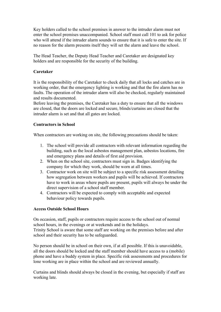Key holders called to the school premises in answer to the intruder alarm must not enter the school premises unaccompanied. School staff must call 101 to ask for police who will attend if the intruder alarm sounds to ensure that it is safe to enter the site. If no reason for the alarm presents itself they will set the alarm and leave the school.

The Head Teacher, the Deputy Head Teacher and Caretaker are designated key holders and are responsible for the security of the building.

#### **Caretaker**

It is the responsibility of the Caretaker to check daily that all locks and catches are in working order, that the emergency lighting is working and that the fire alarm has no faults. The operation of the intruder alarm will also be checked, regularly maintained and results documented.

Before leaving the premises, the Caretaker has a duty to ensure that all the windows are closed, that the doors are locked and secure, blinds/curtains are closed that the intruder alarm is set and that all gates are locked.

#### **Contractors in School**

When contractors are working on site, the following precautions should be taken:

- 1. The school will provide all contractors with relevant information regarding the building, such as the local asbestos management plan, asbestos locations, fire and emergency plans and details of first aid provision.
- 2. When on the school site, contractors must sign in. Badges identifying the company for which they work, should be worn at all times.
- 3. Contractor work on site will be subject to a specific risk assessment detailing how segregation between workers and pupils will be achieved. If contractors have to work in areas where pupils are present, pupils will always be under the direct supervision of a school staff member.
- 4. Contractors will be expected to comply with acceptable and expected behaviour policy towards pupils.

#### **Access Outside School Hours**

On occasion, staff, pupils or contractors require access to the school out of normal school hours, in the evenings or at weekends and in the holidays.

Trinity School is aware that some staff are working on the premises before and after school and their security has to be safeguarded.

No person should be in school on their own, if at all possible. If this is unavoidable, all the doors should be locked and the staff member should have access to a (mobile) phone and have a buddy system in place. Specific risk assessments and procedures for lone working are in place within the school and are reviewed annually.

Curtains and blinds should always be closed in the evening, but especially if staff are working late.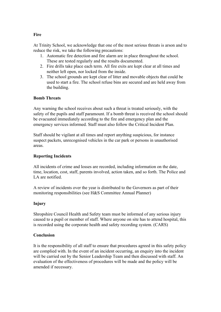# At Trinity School, we acknowledge that one of the most serious threats is arson and to reduce the risk, we take the following precautions:

- 1. Automatic fire detection and fire alarm are in place throughout the school. These are tested regularly and the results documented.
- 2. Fire drills take place each term. All fire exits are kept clear at all times and neither left open, nor locked from the inside.
- 3. The school grounds are kept clear of litter and movable objects that could be used to start a fire. The school refuse bins are secured and are held away from the building.

## **Bomb Threats**

Any warning the school receives about such a threat is treated seriously, with the safety of the pupils and staff paramount. If a bomb threat is received the school should be evacuated immediately according to the fire and emergency plan and the emergency services informed. Staff must also follow the Critical Incident Plan.

Staff should be vigilant at all times and report anything suspicious, for instance suspect packets, unrecognised vehicles in the car park or persons in unauthorised areas.

### **Reporting Incidents**

All incidents of crime and losses are recorded, including information on the date, time, location, cost, staff, parents involved, action taken, and so forth. The Police and LA are notified.

A review of incidents over the year is distributed to the Governors as part of their monitoring responsibilities (see H&S Committee Annual Planner)

## **Injury**

Shropshire Council Health and Safety team must be informed of any serious injury caused to a pupil or member of staff. Where anyone on site has to attend hospital, this is recorded using the corporate health and safety recording system. (CARS)

### **Conclusion**

It is the responsibility of all staff to ensure that procedures agreed in this safety policy are complied with. In the event of an incident occurring, an enquiry into the incident will be carried out by the Senior Leadership Team and then discussed with staff. An evaluation of the effectiveness of procedures will be made and the policy will be amended if necessary.

#### **Fire**